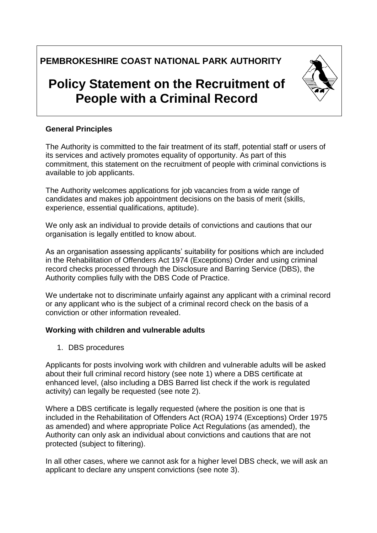# **PEMBROKESHIRE COAST NATIONAL PARK AUTHORITY**

# **Policy Statement on the Recruitment of People with a Criminal Record**

## **General Principles**

The Authority is committed to the fair treatment of its staff, potential staff or users of its services and actively promotes equality of opportunity. As part of this commitment, this statement on the recruitment of people with criminal convictions is available to job applicants.

The Authority welcomes applications for job vacancies from a wide range of candidates and makes job appointment decisions on the basis of merit (skills, experience, essential qualifications, aptitude).

We only ask an individual to provide details of convictions and cautions that our organisation is legally entitled to know about.

As an organisation assessing applicants' suitability for positions which are included in the Rehabilitation of Offenders Act 1974 (Exceptions) Order and using criminal record checks processed through the Disclosure and Barring Service (DBS), the Authority complies fully with the DBS Code of Practice.

We undertake not to discriminate unfairly against any applicant with a criminal record or any applicant who is the subject of a criminal record check on the basis of a conviction or other information revealed.

#### **Working with children and vulnerable adults**

1. DBS procedures

Applicants for posts involving work with children and vulnerable adults will be asked about their full criminal record history (see note 1) where a DBS certificate at enhanced level, (also including a DBS Barred list check if the work is regulated activity) can legally be requested (see note 2).

Where a DBS certificate is legally requested (where the position is one that is included in the Rehabilitation of Offenders Act (ROA) 1974 (Exceptions) Order 1975 as amended) and where appropriate Police Act Regulations (as amended), the Authority can only ask an individual about convictions and cautions that are not protected (subject to filtering).

In all other cases, where we cannot ask for a higher level DBS check, we will ask an applicant to declare any unspent convictions (see note 3).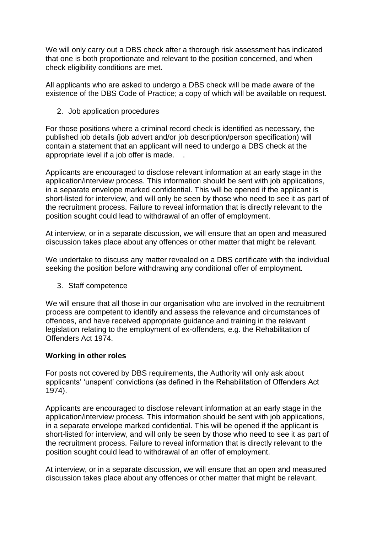We will only carry out a DBS check after a thorough risk assessment has indicated that one is both proportionate and relevant to the position concerned, and when check eligibility conditions are met.

All applicants who are asked to undergo a DBS check will be made aware of the existence of the DBS Code of Practice; a copy of which will be available on request.

2. Job application procedures

For those positions where a criminal record check is identified as necessary, the published job details (job advert and/or job description/person specification) will contain a statement that an applicant will need to undergo a DBS check at the appropriate level if a job offer is made. .

Applicants are encouraged to disclose relevant information at an early stage in the application/interview process. This information should be sent with job applications, in a separate envelope marked confidential. This will be opened if the applicant is short-listed for interview, and will only be seen by those who need to see it as part of the recruitment process. Failure to reveal information that is directly relevant to the position sought could lead to withdrawal of an offer of employment.

At interview, or in a separate discussion, we will ensure that an open and measured discussion takes place about any offences or other matter that might be relevant.

We undertake to discuss any matter revealed on a DBS certificate with the individual seeking the position before withdrawing any conditional offer of employment.

3. Staff competence

We will ensure that all those in our organisation who are involved in the recruitment process are competent to identify and assess the relevance and circumstances of offences, and have received appropriate guidance and training in the relevant legislation relating to the employment of ex-offenders, e.g. the Rehabilitation of Offenders Act 1974.

## **Working in other roles**

For posts not covered by DBS requirements, the Authority will only ask about applicants' 'unspent' convictions (as defined in the Rehabilitation of Offenders Act 1974).

Applicants are encouraged to disclose relevant information at an early stage in the application/interview process. This information should be sent with job applications, in a separate envelope marked confidential. This will be opened if the applicant is short-listed for interview, and will only be seen by those who need to see it as part of the recruitment process. Failure to reveal information that is directly relevant to the position sought could lead to withdrawal of an offer of employment.

At interview, or in a separate discussion, we will ensure that an open and measured discussion takes place about any offences or other matter that might be relevant.